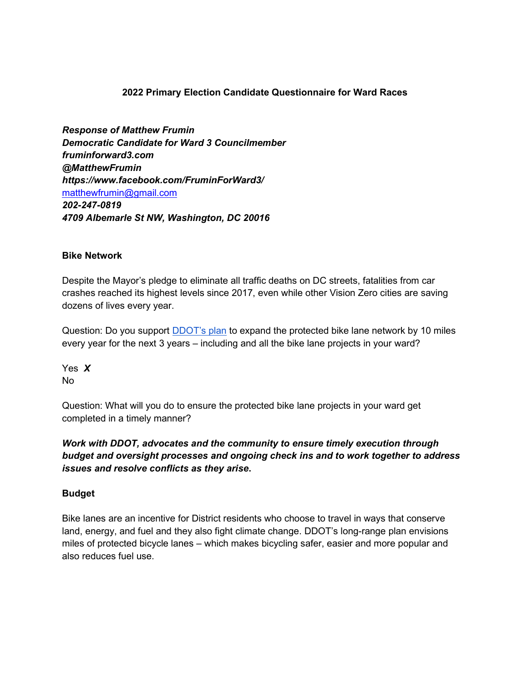#### 2022 Primary Election Candidate Questionnaire for Ward Races

Response of Matthew Frumin Democratic Candidate for Ward 3 Councilmember fruminforward3.com @MatthewFrumin https://www.facebook.com/FruminForWard3/ matthewfrumin@gmail.com 202-247-0819 4709 Albemarle St NW, Washington, DC 20016

#### Bike Network

Despite the Mayor's pledge to eliminate all traffic deaths on DC streets, fatalities from car crashes reached its highest levels since 2017, even while other Vision Zero cities are saving dozens of lives every year.

Question: Do you support **DDOT's plan** to expand the protected bike lane network by 10 miles every year for the next 3 years – including and all the bike lane projects in your ward?

Yes X No

Question: What will you do to ensure the protected bike lane projects in your ward get completed in a timely manner?

Work with DDOT, advocates and the community to ensure timely execution through budget and oversight processes and ongoing check ins and to work together to address issues and resolve conflicts as they arise.

#### Budget

Bike lanes are an incentive for District residents who choose to travel in ways that conserve land, energy, and fuel and they also fight climate change. DDOT's long-range plan envisions miles of protected bicycle lanes – which makes bicycling safer, easier and more popular and also reduces fuel use.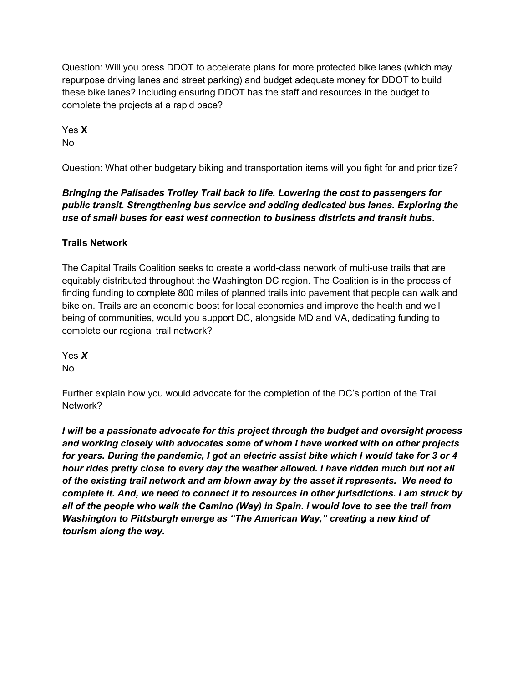Question: Will you press DDOT to accelerate plans for more protected bike lanes (which may repurpose driving lanes and street parking) and budget adequate money for DDOT to build these bike lanes? Including ensuring DDOT has the staff and resources in the budget to complete the projects at a rapid pace?

Yes X No

Question: What other budgetary biking and transportation items will you fight for and prioritize?

Bringing the Palisades Trolley Trail back to life. Lowering the cost to passengers for public transit. Strengthening bus service and adding dedicated bus lanes. Exploring the use of small buses for east west connection to business districts and transit hubs.

# Trails Network

The Capital Trails Coalition seeks to create a world-class network of multi-use trails that are equitably distributed throughout the Washington DC region. The Coalition is in the process of finding funding to complete 800 miles of planned trails into pavement that people can walk and bike on. Trails are an economic boost for local economies and improve the health and well being of communities, would you support DC, alongside MD and VA, dedicating funding to complete our regional trail network?

Yes X No

Further explain how you would advocate for the completion of the DC's portion of the Trail Network?

I will be a passionate advocate for this project through the budget and oversight process and working closely with advocates some of whom I have worked with on other projects for years. During the pandemic, I got an electric assist bike which I would take for 3 or 4 hour rides pretty close to every day the weather allowed. I have ridden much but not all of the existing trail network and am blown away by the asset it represents. We need to complete it. And, we need to connect it to resources in other jurisdictions. I am struck by all of the people who walk the Camino (Way) in Spain. I would love to see the trail from Washington to Pittsburgh emerge as "The American Way," creating a new kind of tourism along the way.